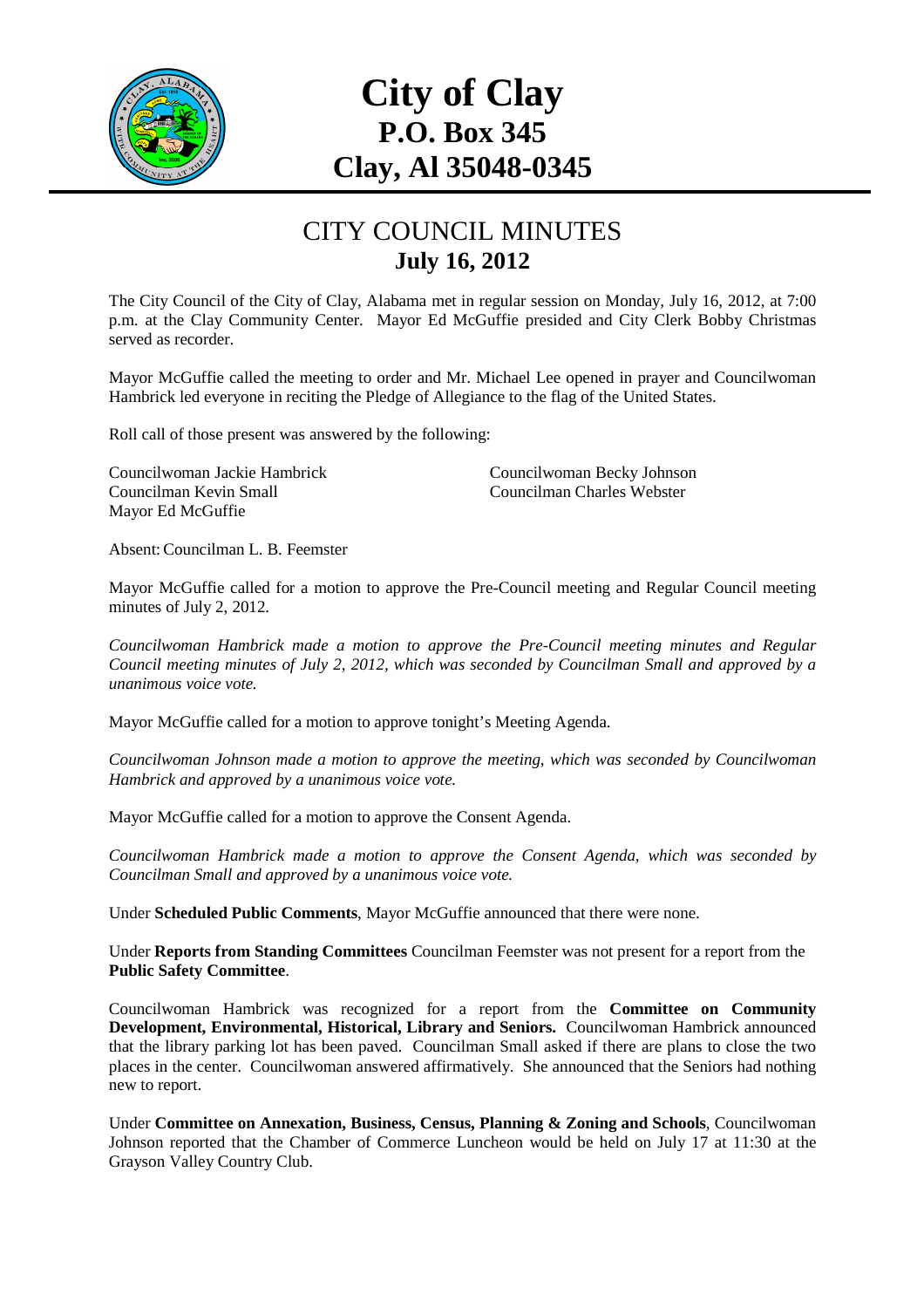

## **City of Clay P.O. Box 345 Clay, Al 35048-0345**

## CITY COUNCIL MINUTES **July 16, 2012**

The City Council of the City of Clay, Alabama met in regular session on Monday, July 16, 2012, at 7:00 p.m. at the Clay Community Center. Mayor Ed McGuffie presided and City Clerk Bobby Christmas served as recorder.

Mayor McGuffie called the meeting to order and Mr. Michael Lee opened in prayer and Councilwoman Hambrick led everyone in reciting the Pledge of Allegiance to the flag of the United States.

Roll call of those present was answered by the following:

Councilwoman Jackie Hambrick Councilwoman Becky Johnson Councilman Kevin Small Councilman Charles Webster Mayor Ed McGuffie

Absent: Councilman L. B. Feemster

Mayor McGuffie called for a motion to approve the Pre-Council meeting and Regular Council meeting minutes of July 2, 2012.

*Councilwoman Hambrick made a motion to approve the Pre-Council meeting minutes and Regular Council meeting minutes of July 2, 2012, which was seconded by Councilman Small and approved by a unanimous voice vote.* 

Mayor McGuffie called for a motion to approve tonight's Meeting Agenda.

*Councilwoman Johnson made a motion to approve the meeting, which was seconded by Councilwoman Hambrick and approved by a unanimous voice vote.* 

Mayor McGuffie called for a motion to approve the Consent Agenda.

*Councilwoman Hambrick made a motion to approve the Consent Agenda, which was seconded by Councilman Small and approved by a unanimous voice vote.* 

Under **Scheduled Public Comments**, Mayor McGuffie announced that there were none.

Under **Reports from Standing Committees** Councilman Feemster was not present for a report from the **Public Safety Committee**.

Councilwoman Hambrick was recognized for a report from the **Committee on Community Development, Environmental, Historical, Library and Seniors.** Councilwoman Hambrick announced that the library parking lot has been paved. Councilman Small asked if there are plans to close the two places in the center. Councilwoman answered affirmatively. She announced that the Seniors had nothing new to report.

Under **Committee on Annexation, Business, Census, Planning & Zoning and Schools**, Councilwoman Johnson reported that the Chamber of Commerce Luncheon would be held on July 17 at 11:30 at the Grayson Valley Country Club.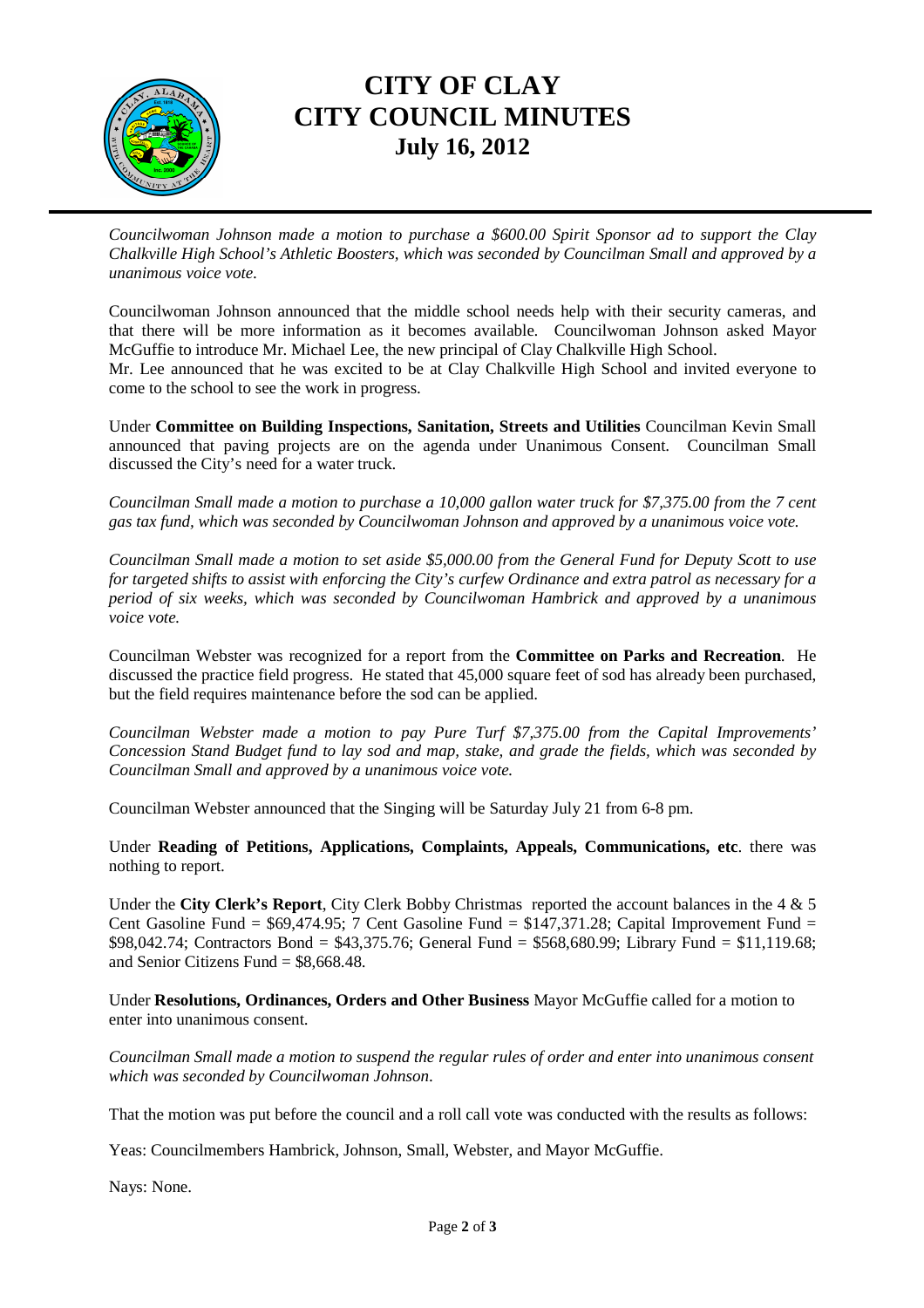

## **CITY OF CLAY CITY COUNCIL MINUTES July 16, 2012**

*Councilwoman Johnson made a motion to purchase a \$600.00 Spirit Sponsor ad to support the Clay Chalkville High School's Athletic Boosters, which was seconded by Councilman Small and approved by a unanimous voice vote*.

Councilwoman Johnson announced that the middle school needs help with their security cameras, and that there will be more information as it becomes available. Councilwoman Johnson asked Mayor McGuffie to introduce Mr. Michael Lee, the new principal of Clay Chalkville High School. Mr. Lee announced that he was excited to be at Clay Chalkville High School and invited everyone to come to the school to see the work in progress.

Under **Committee on Building Inspections, Sanitation, Streets and Utilities** Councilman Kevin Small announced that paving projects are on the agenda under Unanimous Consent. Councilman Small discussed the City's need for a water truck.

*Councilman Small made a motion to purchase a 10,000 gallon water truck for \$7,375.00 from the 7 cent gas tax fund, which was seconded by Councilwoman Johnson and approved by a unanimous voice vote.* 

*Councilman Small made a motion to set aside \$5,000.00 from the General Fund for Deputy Scott to use for targeted shifts to assist with enforcing the City's curfew Ordinance and extra patrol as necessary for a period of six weeks, which was seconded by Councilwoman Hambrick and approved by a unanimous voice vote.* 

Councilman Webster was recognized for a report from the **Committee on Parks and Recreation**. He discussed the practice field progress. He stated that 45,000 square feet of sod has already been purchased, but the field requires maintenance before the sod can be applied.

*Councilman Webster made a motion to pay Pure Turf \$7,375.00 from the Capital Improvements' Concession Stand Budget fund to lay sod and map, stake, and grade the fields, which was seconded by Councilman Small and approved by a unanimous voice vote.* 

Councilman Webster announced that the Singing will be Saturday July 21 from 6-8 pm.

Under **Reading of Petitions, Applications, Complaints, Appeals, Communications, etc**. there was nothing to report.

Under the **City Clerk's Report**, City Clerk Bobby Christmas reported the account balances in the 4 & 5 Cent Gasoline Fund = \$69,474.95; 7 Cent Gasoline Fund = \$147,371.28; Capital Improvement Fund = \$98,042.74; Contractors Bond = \$43,375.76; General Fund = \$568,680.99; Library Fund = \$11,119.68; and Senior Citizens Fund  $=$  \$8,668.48.

Under **Resolutions, Ordinances, Orders and Other Business** Mayor McGuffie called for a motion to enter into unanimous consent.

*Councilman Small made a motion to suspend the regular rules of order and enter into unanimous consent which was seconded by Councilwoman Johnson*.

That the motion was put before the council and a roll call vote was conducted with the results as follows:

Yeas: Councilmembers Hambrick, Johnson, Small, Webster, and Mayor McGuffie.

Nays: None.